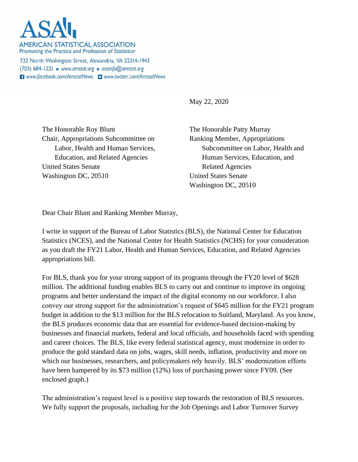**AMERICAN STATISTICAL ASSOCIATION** Promoting the Practice and Profession of Statistics®

732 North Washington Street, Alexandria, VA 22314-1943  $(703)$  684-1221 www.amstat.org asainfo@amstat.org Www.facebook.com/AmstatNews D www.twitter.com/AmstatNews

May 22, 2020

The Honorable Roy Blunt Chair, Appropriations Subcommittee on Labor, Health and Human Services, Education, and Related Agencies United States Senate Washington DC, 20510

The Honorable Patty Murray Ranking Member, Appropriations Subcommittee on Labor, Health and Human Services, Education, and Related Agencies United States Senate Washington DC, 20510

Dear Chair Blunt and Ranking Member Murray,

I write in support of the Bureau of Labor Statistics (BLS), the National Center for Education Statistics (NCES), and the National Center for Health Statistics (NCHS) for your consideration as you draft the FY21 Labor, Health and Human Services, Education, and Related Agencies appropriations bill.

For BLS, thank you for your strong support of its programs through the FY20 level of \$628 million. The additional funding enables BLS to carry out and continue to improve its ongoing programs and better understand the impact of the digital economy on our workforce. I also convey our strong support for the administration's request of \$645 million for the FY21 program budget in addition to the \$13 million for the BLS relocation to Suitland, Maryland. As you know, the BLS produces economic data that are essential for evidence-based decision-making by businesses and financial markets, federal and local officials, and households faced with spending and career choices. The BLS, like every federal statistical agency, must modernize in order to produce the gold standard data on jobs, wages, skill needs, inflation, productivity and more on which our businesses, researchers, and policymakers rely heavily. BLS' modernization efforts have been hampered by its \$73 million (12%) loss of purchasing power since FY09. (See enclosed graph.)

The administration's request level is a positive step towards the restoration of BLS resources. We fully support the proposals, including for the Job Openings and Labor Turnover Survey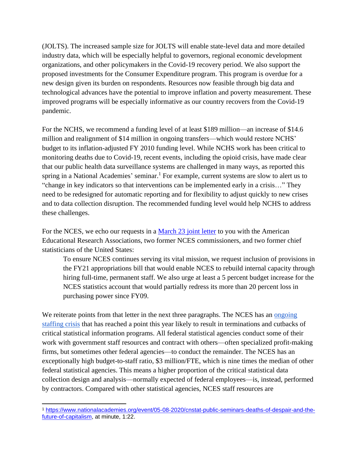(JOLTS). The increased sample size for JOLTS will enable state-level data and more detailed industry data, which will be especially helpful to governors, regional economic development organizations, and other policymakers in the Covid-19 recovery period. We also support the proposed investments for the Consumer Expenditure program. This program is overdue for a new design given its burden on respondents. Resources now feasible through big data and technological advances have the potential to improve inflation and poverty measurement. These improved programs will be especially informative as our country recovers from the Covid-19 pandemic.

For the NCHS, we recommend a funding level of at least \$189 million—an increase of \$14.6 million and realignment of \$14 million in ongoing transfers—which would restore NCHS' budget to its inflation-adjusted FY 2010 funding level. While NCHS work has been critical to monitoring deaths due to Covid-19, recent events, including the opioid crisis, have made clear that our public health data surveillance systems are challenged in many ways, as reported this spring in a National Academies' seminar.<sup>1</sup> For example, current systems are slow to alert us to "change in key indicators so that interventions can be implemented early in a crisis…" They need to be redesigned for automatic reporting and for flexibility to adjust quickly to new crises and to data collection disruption. The recommended funding level would help NCHS to address these challenges.

For the NCES, we echo our requests in a [March 23 joint letter](https://www.amstat.org/asa/files/pdfs/POL-NCES_FY21.pdf) to you with the American Educational Research Associations, two former NCES commissioners, and two former chief statisticians of the United States:

To ensure NCES continues serving its vital mission, we request inclusion of provisions in the FY21 appropriations bill that would enable NCES to rebuild internal capacity through hiring full-time, permanent staff. We also urge at least a 5 percent budget increase for the NCES statistics account that would partially redress its more than 20 percent loss in purchasing power since FY09.

We reiterate points from that letter in the next three paragraphs. The NCES has an ongoing [staffing crisis](https://www.amstat.org/asa/files/pdfs/POL-NCES%20one%20pager_StaffingApprops.pdf) that has reached a point this year likely to result in terminations and cutbacks of critical statistical information programs. All federal statistical agencies conduct some of their work with government staff resources and contract with others—often specialized profit-making firms, but sometimes other federal agencies—to conduct the remainder. The NCES has an exceptionally high budget-to-staff ratio, \$3 million/FTE, which is nine times the median of other federal statistical agencies. This means a higher proportion of the critical statistical data collection design and analysis—normally expected of federal employees—is, instead, performed by contractors. Compared with other statistical agencies, NCES staff resources are

<sup>1</sup> [https://www.nationalacademies.org/event/05-08-2020/cnstat-public-seminars-deaths-of-despair-and-the](https://www.nationalacademies.org/event/05-08-2020/cnstat-public-seminars-deaths-of-despair-and-the-future-of-capitalism)[future-of-capitalism,](https://www.nationalacademies.org/event/05-08-2020/cnstat-public-seminars-deaths-of-despair-and-the-future-of-capitalism) at minute, 1:22.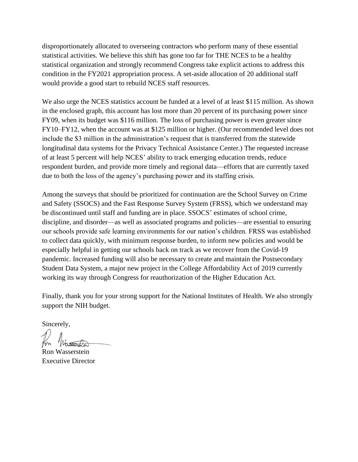disproportionately allocated to overseeing contractors who perform many of these essential statistical activities. We believe this shift has gone too far for THE NCES to be a healthy statistical organization and strongly recommend Congress take explicit actions to address this condition in the FY2021 appropriation process. A set-aside allocation of 20 additional staff would provide a good start to rebuild NCES staff resources.

We also urge the NCES statistics account be funded at a level of at least \$115 million. As shown in the enclosed graph, this account has lost more than 20 percent of its purchasing power since FY09, when its budget was \$116 million. The loss of purchasing power is even greater since FY10–FY12, when the account was at \$125 million or higher. (Our recommended level does not include the \$3 million in the administration's request that is transferred from the statewide longitudinal data systems for the Privacy Technical Assistance Center.) The requested increase of at least 5 percent will help NCES' ability to track emerging education trends, reduce respondent burden, and provide more timely and regional data—efforts that are currently taxed due to both the loss of the agency's purchasing power and its staffing crisis.

Among the surveys that should be prioritized for continuation are the School Survey on Crime and Safety (SSOCS) and the Fast Response Survey System (FRSS), which we understand may be discontinued until staff and funding are in place. SSOCS' estimates of school crime, discipline, and disorder—as well as associated programs and policies—are essential to ensuring our schools provide safe learning environments for our nation's children. FRSS was established to collect data quickly, with minimum response burden, to inform new policies and would be especially helpful in getting our schools back on track as we recover from the Covid-19 pandemic. Increased funding will also be necessary to create and maintain the Postsecondary Student Data System, a major new project in the College Affordability Act of 2019 currently working its way through Congress for reauthorization of the Higher Education Act.

Finally, thank you for your strong support for the National Institutes of Health. We also strongly support the NIH budget.

Sincerely,

Ron Wasserstein Executive Director